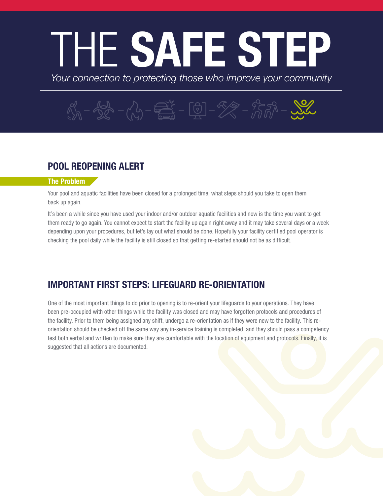# THE SAFE STEP

*Your connection to protecting those who improve your community*

## $\mathcal{K}_{\mathcal{A}}^{\prime} - \mathcal{L}_{\mathcal{A}}^{\prime} - \mathcal{K}_{\mathcal{A}}^{\prime} - \overbrace{\mathbb{R}^3}^{\mathcal{K}} - [\mathbb{Q}] - \mathcal{L}_{\mathcal{A}}^{\mathcal{A}} - \mathcal{L}_{\mathcal{A}}^{\mathcal{A}} - \mathcal{L}_{\mathcal{A}}^{\mathcal{A}} - \cdots$

### POOL REOPENING ALERT

#### The Problem

Your pool and aquatic facilities have been closed for a prolonged time, what steps should you take to open them back up again.

It's been a while since you have used your indoor and/or outdoor aquatic facilities and now is the time you want to get them ready to go again. You cannot expect to start the facility up again right away and it may take several days or a week depending upon your procedures, but let's lay out what should be done. Hopefully your facility certified pool operator is checking the pool daily while the facility is still closed so that getting re-started should not be as difficult.

#### IMPORTANT FIRST STEPS: LIFEGUARD RE-ORIENTATION

One of the most important things to do prior to opening is to re-orient your lifeguards to your operations. They have been pre-occupied with other things while the facility was closed and may have forgotten protocols and procedures of the facility. Prior to them being assigned any shift, undergo a re-orientation as if they were new to the facility. This reorientation should be checked off the same way any in-service training is completed, and they should pass a competency test both verbal and written to make sure they are comfortable with the location of equipment and protocols. Finally, it is suggested that all actions are documented.